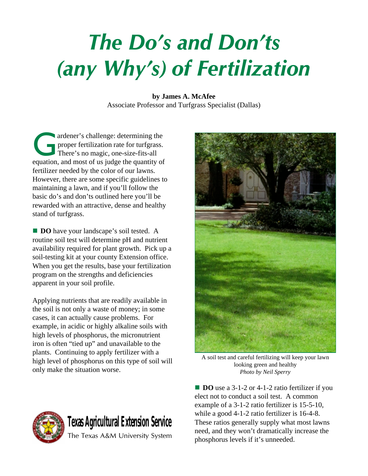## The Do's and Don'ts (any Why's) of Fertilization

**by James A. McAfee** Associate Professor and Turfgrass Specialist (Dallas)

ardener's challenge: determining the<br>proper fertilization rate for turfgrass.<br>There's no magic, one-size-fits-all proper fertilization rate for turfgrass. There's no magic, one-size-fits-all equation, and most of us judge the quantity of fertilizer needed by the color of our lawns. However, there are some specific guidelines to maintaining a lawn, and if you'll follow the basic do's and don'ts outlined here you'll be rewarded with an attractive, dense and healthy stand of turfgrass.

**DO** have your landscape's soil tested. A routine soil test will determine pH and nutrient availability required for plant growth. Pick up a soil-testing kit at your county Extension office. When you get the results, base your fertilization program on the strengths and deficiencies apparent in your soil profile.

Applying nutrients that are readily available in the soil is not only a waste of money; in some cases, it can actually cause problems. For example, in acidic or highly alkaline soils with high levels of phosphorus, the micronutrient iron is often "tied up" and unavailable to the plants. Continuing to apply fertilizer with a high level of phosphorus on this type of soil will only make the situation worse.



A soil test and careful fertilizing will keep your lawn looking green and healthy *Photo by Neil Sperry*

**DO** use a 3-1-2 or 4-1-2 ratio fertilizer if you elect not to conduct a soil test. A common example of a 3-1-2 ratio fertilizer is 15-5-10, while a good 4-1-2 ratio fertilizer is 16-4-8. These ratios generally supply what most lawns need, and they won't dramatically increase the phosphorus levels if it's unneeded.

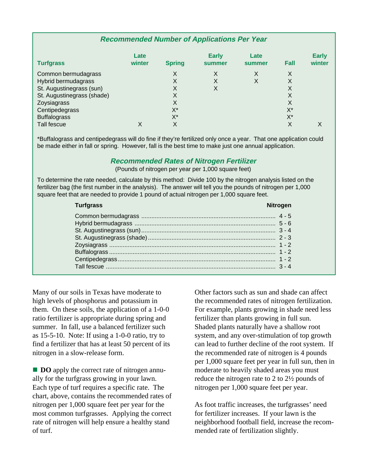## **Recommended Number of Applications Per Year**

| <b>Turfgrass</b>           | Late<br>winter | <b>Spring</b> | <b>Early</b><br>summer | Late<br>summer | Fall  | <b>Early</b><br>winter |
|----------------------------|----------------|---------------|------------------------|----------------|-------|------------------------|
| Common bermudagrass        |                | X             | X                      | X              | X     |                        |
| Hybrid bermudagrass        |                | X             | X                      | X              | X     |                        |
| St. Augustinegrass (sun)   |                | X             | X                      |                | X     |                        |
| St. Augustinegrass (shade) |                | X             |                        |                | X     |                        |
| Zoysiagrass                |                | X             |                        |                | X     |                        |
| Centipedegrass             |                | X*            |                        |                | $X^*$ |                        |
| <b>Buffalograss</b>        |                | $X^*$         |                        |                | $X^*$ |                        |
| Tall fescue                | Χ              | X             |                        |                | Χ     | X                      |

\*Buffalograss and centipedegrass will do fine if they're fertilized only once a year. That one application could be made either in fall or spring. However, fall is the best time to make just one annual application.

## **Recommended Rates of Nitrogen Fertilizer**

(Pounds of nitrogen per year per 1,000 square feet)

To determine the rate needed, calculate by this method: Divide 100 by the nitrogen analysis listed on the fertilizer bag (the first number in the analysis). The answer will tell you the pounds of nitrogen per 1,000 square feet that are needed to provide 1 pound of actual nitrogen per 1,000 square feet.

| <b>Turfgrass</b> | <b>Nitrogen</b> |
|------------------|-----------------|
|                  |                 |
|                  |                 |
|                  |                 |
|                  |                 |
|                  |                 |
|                  |                 |
|                  |                 |
|                  |                 |
|                  |                 |

Many of our soils in Texas have moderate to high levels of phosphorus and potassium in them. On these soils, the application of a 1-0-0 ratio fertilizer is appropriate during spring and summer. In fall, use a balanced fertilizer such as 15-5-10. Note: If using a 1-0-0 ratio, try to find a fertilizer that has at least 50 percent of its nitrogen in a slow-release form.

**DO** apply the correct rate of nitrogen annually for the turfgrass growing in your lawn. Each type of turf requires a specific rate. The chart, above, contains the recommended rates of nitrogen per 1,000 square feet per year for the most common turfgrasses. Applying the correct rate of nitrogen will help ensure a healthy stand of turf.

Other factors such as sun and shade can affect the recommended rates of nitrogen fertilization. For example, plants growing in shade need less fertilizer than plants growing in full sun. Shaded plants naturally have a shallow root system, and any over-stimulation of top growth can lead to further decline of the root system. If the recommended rate of nitrogen is 4 pounds per 1,000 square feet per year in full sun, then in moderate to heavily shaded areas you must reduce the nitrogen rate to 2 to 2½ pounds of nitrogen per 1,000 square feet per year.

As foot traffic increases, the turfgrasses' need for fertilizer increases. If your lawn is the neighborhood football field, increase the recommended rate of fertilization slightly.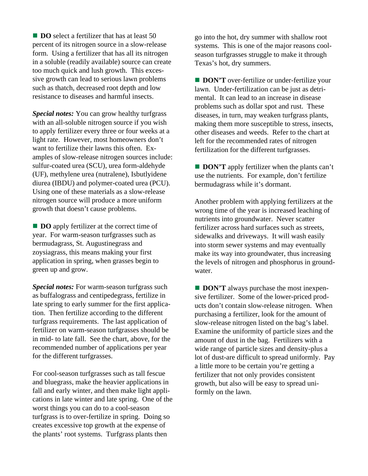**DO** select a fertilizer that has at least 50 percent of its nitrogen source in a slow-release form. Using a fertilizer that has all its nitrogen in a soluble (readily available) source can create too much quick and lush growth. This excessive growth can lead to serious lawn problems such as thatch, decreased root depth and low resistance to diseases and harmful insects.

*Special notes:* You can grow healthy turfgrass with an all-soluble nitrogen source if you wish to apply fertilizer every three or four weeks at a light rate. However, most homeowners don't want to fertilize their lawns this often. Examples of slow-release nitrogen sources include: sulfur-coated urea (SCU), urea form-aldehyde (UF), methylene urea (nutralene), Isbutlyidene diurea (IBDU) and polymer-coated urea (PCU). Using one of these materials as a slow-release nitrogen source will produce a more uniform growth that doesn't cause problems.

**DO** apply fertilizer at the correct time of year. For warm-season turfgrasses such as bermudagrass, St. Augustinegrass and zoysiagrass, this means making your first application in spring, when grasses begin to green up and grow.

*Special notes:* For warm-season turfgrass such as buffalograss and centipedegrass, fertilize in late spring to early summer for the first application. Then fertilize according to the different turfgrass requirements. The last application of fertilizer on warm-season turfgrasses should be in mid- to late fall. See the chart, above, for the recommended number of applications per year for the different turfgrasses.

For cool-season turfgrasses such as tall fescue and bluegrass, make the heavier applications in fall and early winter, and then make light applications in late winter and late spring. One of the worst things you can do to a cool-season turfgrass is to over-fertilize in spring. Doing so creates excessive top growth at the expense of the plants' root systems. Turfgrass plants then

go into the hot, dry summer with shallow root systems. This is one of the major reasons coolseason turfgrasses struggle to make it through Texas's hot, dry summers.

**DON'T** over-fertilize or under-fertilize your lawn. Under-fertilization can be just as detrimental. It can lead to an increase in disease problems such as dollar spot and rust. These diseases, in turn, may weaken turfgrass plants, making them more susceptible to stress, insects, other diseases and weeds. Refer to the chart at left for the recommended rates of nitrogen fertilization for the different turfgrasses.

**DON'T** apply fertilizer when the plants can't use the nutrients. For example, don't fertilize bermudagrass while it's dormant.

Another problem with applying fertilizers at the wrong time of the year is increased leaching of nutrients into groundwater. Never scatter fertilizer across hard surfaces such as streets, sidewalks and driveways. It will wash easily into storm sewer systems and may eventually make its way into groundwater, thus increasing the levels of nitrogen and phosphorus in groundwater.

**DON'T** always purchase the most inexpensive fertilizer. Some of the lower-priced products don't contain slow-release nitrogen. When purchasing a fertilizer, look for the amount of slow-release nitrogen listed on the bag's label. Examine the uniformity of particle sizes and the amount of dust in the bag. Fertilizers with a wide range of particle sizes and density-plus a lot of dust-are difficult to spread uniformly. Pay a little more to be certain you're getting a fertilizer that not only provides consistent growth, but also will be easy to spread uniformly on the lawn.